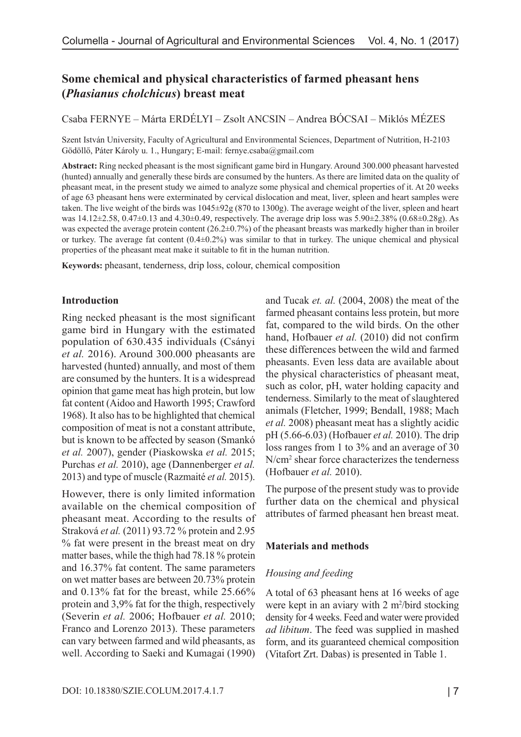# **Some chemical and physical characteristics of farmed pheasant hens (***Phasianus cholchicus***) breast meat**

Csaba FERNYE – Márta ERDÉLYI – Zsolt ANCSIN – Andrea BÓCSAI – Miklós MÉZES

Szent István University, Faculty of Agricultural and Environmental Sciences, Department of Nutrition, H-2103 Gödöllő, Páter Károly u. 1., Hungary; E-mail: fernye.csaba@gmail.com

**Abstract:** Ring necked pheasant is the most significant game bird in Hungary. Around 300.000 pheasant harvested (hunted) annually and generally these birds are consumed by the hunters. As there are limited data on the quality of pheasant meat, in the present study we aimed to analyze some physical and chemical properties of it. At 20 weeks of age 63 pheasant hens were exterminated by cervical dislocation and meat, liver, spleen and heart samples were taken. The live weight of the birds was 1045±92g (870 to 1300g). The average weight of the liver, spleen and heart was  $14.12\pm2.58$ ,  $0.47\pm0.13$  and  $4.30\pm0.49$ , respectively. The average drip loss was  $5.90\pm2.38\%$  ( $0.68\pm0.28g$ ). As was expected the average protein content  $(26.2\pm0.7%)$  of the pheasant breasts was markedly higher than in broiler or turkey. The average fat content (0.4±0.2%) was similar to that in turkey. The unique chemical and physical properties of the pheasant meat make it suitable to fit in the human nutrition.

**Keywords:** pheasant, tenderness, drip loss, colour, chemical composition

## **Introduction**

Ring necked pheasant is the most significant game bird in Hungary with the estimated population of 630.435 individuals (Csányi *et al.* 2016). Around 300.000 pheasants are harvested (hunted) annually, and most of them are consumed by the hunters. It is a widespread opinion that game meat has high protein, but low fat content (Aidoo and Haworth 1995; Crawford 1968). It also has to be highlighted that chemical composition of meat is not a constant attribute, but is known to be affected by season (Smankó *et al.* 2007), gender (Piaskowska *et al.* 2015; Purchas *et al.* 2010), age (Dannenberger *et al.* 2013) and type of muscle (Razmaité *et al.* 2015).

However, there is only limited information available on the chemical composition of pheasant meat. According to the results of Straková *et al.* (2011) 93.72 % protein and 2.95 % fat were present in the breast meat on dry matter bases, while the thigh had 78.18 % protein and 16.37% fat content. The same parameters on wet matter bases are between 20.73% protein and 0.13% fat for the breast, while 25.66% protein and 3,9% fat for the thigh, respectively (Severin *et al.* 2006; Hofbauer *et al.* 2010; Franco and Lorenzo 2013). These parameters can vary between farmed and wild pheasants, as well. According to Saeki and Kumagai (1990)

and Tucak *et. al.* (2004, 2008) the meat of the farmed pheasant contains less protein, but more fat, compared to the wild birds. On the other hand, Hofbauer *et al.* (2010) did not confirm these differences between the wild and farmed pheasants. Even less data are available about the physical characteristics of pheasant meat, such as color, pH, water holding capacity and tenderness. Similarly to the meat of slaughtered animals (Fletcher, 1999; Bendall, 1988; Mach *et al.* 2008) pheasant meat has a slightly acidic pH (5.66-6.03) (Hofbauer *et al.* 2010). The drip loss ranges from 1 to 3% and an average of 30 N/cm2 shear force characterizes the tenderness (Hofbauer *et al.* 2010).

The purpose of the present study was to provide further data on the chemical and physical attributes of farmed pheasant hen breast meat.

# **Materials and methods**

#### *Housing and feeding*

A total of 63 pheasant hens at 16 weeks of age were kept in an aviary with  $2 \text{ m}^2/\text{bird}$  stocking density for 4 weeks. Feed and water were provided *ad libitum*. The feed was supplied in mashed form, and its guaranteed chemical composition (Vitafort Zrt. Dabas) is presented in Table 1.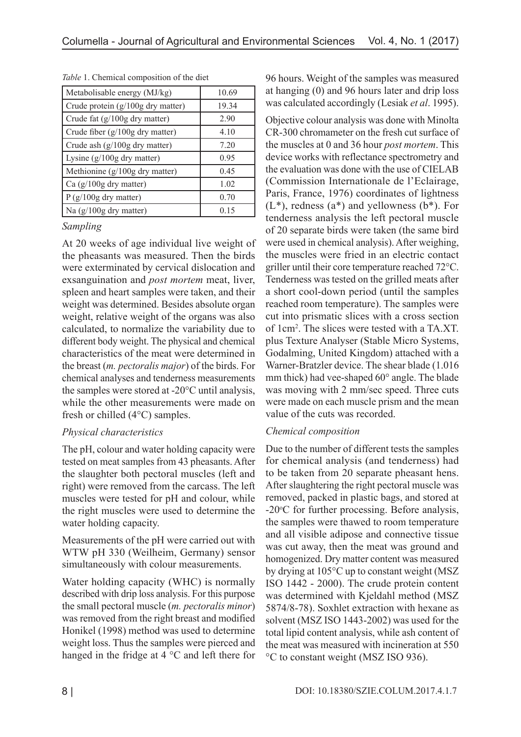| Metabolisable energy (MJ/kg)      | 10.69 |
|-----------------------------------|-------|
| Crude protein (g/100g dry matter) | 19.34 |
| Crude fat (g/100g dry matter)     | 2.90  |
| Crude fiber (g/100g dry matter)   | 4.10  |
| Crude ash (g/100g dry matter)     | 7.20  |
| Lysine $(g/100g$ dry matter)      | 0.95  |
| Methionine $(g/100g)$ dry matter) | 0.45  |
| Ca $(g/100g$ dry matter)          | 1.02  |
| $P(g/100g$ dry matter)            | 0.70  |
| Na $(g/100g$ dry matter)          | 0.15  |

*Table* 1. Chemical composition of the diet

*Sampling*

At 20 weeks of age individual live weight of the pheasants was measured. Then the birds were exterminated by cervical dislocation and exsanguination and *post mortem* meat, liver, spleen and heart samples were taken, and their weight was determined. Besides absolute organ weight, relative weight of the organs was also calculated, to normalize the variability due to different body weight. The physical and chemical characteristics of the meat were determined in the breast (*m. pectoralis major*) of the birds. For chemical analyses and tenderness measurements the samples were stored at -20°C until analysis, while the other measurements were made on fresh or chilled (4°C) samples.

# *Physical characteristics*

The pH, colour and water holding capacity were tested on meat samples from 43 pheasants. After the slaughter both pectoral muscles (left and right) were removed from the carcass. The left muscles were tested for pH and colour, while the right muscles were used to determine the water holding capacity.

Measurements of the pH were carried out with WTW pH 330 (Weilheim, Germany) sensor simultaneously with colour measurements.

Water holding capacity (WHC) is normally described with drip loss analysis. For this purpose the small pectoral muscle (*m. pectoralis minor*) was removed from the right breast and modified Honikel (1998) method was used to determine weight loss. Thus the samples were pierced and hanged in the fridge at 4 °C and left there for 96 hours. Weight of the samples was measured at hanging (0) and 96 hours later and drip loss was calculated accordingly (Lesiak *et al*. 1995).

Objective colour analysis was done with Minolta CR-300 chromameter on the fresh cut surface of the muscles at 0 and 36 hour *post mortem*. This device works with reflectance spectrometry and the evaluation was done with the use of CIELAB (Commission Internationale de l'Eclairage, Paris, France, 1976) coordinates of lightness  $(L^*)$ , redness  $(a^*)$  and yellowness  $(b^*)$ . For tenderness analysis the left pectoral muscle of 20 separate birds were taken (the same bird were used in chemical analysis). After weighing, the muscles were fried in an electric contact griller until their core temperature reached 72°C. Tenderness was tested on the grilled meats after a short cool-down period (until the samples reached room temperature). The samples were cut into prismatic slices with a cross section of 1cm2 . The slices were tested with a TA.XT. plus Texture Analyser (Stable Micro Systems, Godalming, United Kingdom) attached with a Warner-Bratzler device. The shear blade (1.016 mm thick) had vee-shaped 60° angle. The blade was moving with 2 mm/sec speed. Three cuts were made on each muscle prism and the mean value of the cuts was recorded.

# *Chemical composition*

Due to the number of different tests the samples for chemical analysis (and tenderness) had to be taken from 20 separate pheasant hens. After slaughtering the right pectoral muscle was removed, packed in plastic bags, and stored at -20°C for further processing. Before analysis, the samples were thawed to room temperature and all visible adipose and connective tissue was cut away, then the meat was ground and homogenized. Dry matter content was measured by drying at 105°C up to constant weight (MSZ ISO 1442 - 2000). The crude protein content was determined with Kjeldahl method (MSZ 5874/8-78). Soxhlet extraction with hexane as solvent (MSZ ISO 1443-2002) was used for the total lipid content analysis, while ash content of the meat was measured with incineration at 550 °C to constant weight (MSZ ISO 936).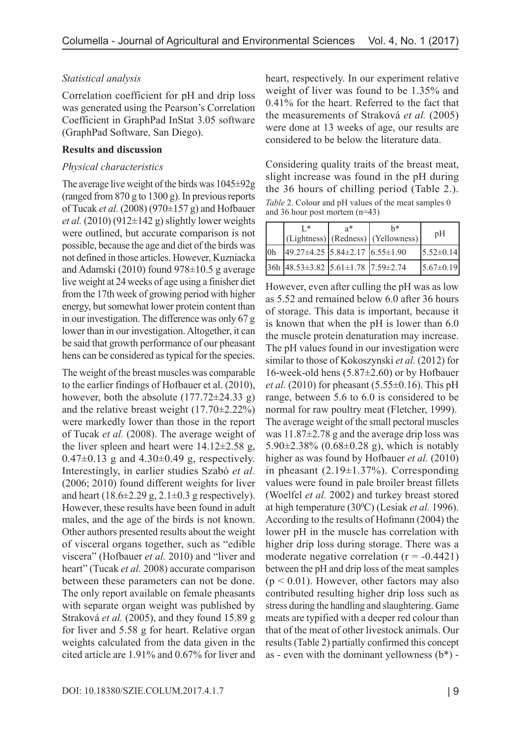## *Statistical analysis*

Correlation coefficient for pH and drip loss was generated using the Pearson's Correlation Coefficient in GraphPad InStat 3.05 software (GraphPad Software, San Diego).

#### **Results and discussion**

#### *Physical characteristics*

The average live weight of the birds was 1045±92g (ranged from 870 g to 1300 g). In previous reports of Tucak *et al.* (2008) (970±157 g) and Hofbauer *et al.* (2010) (912 $\pm$ 142 g) slightly lower weights were outlined, but accurate comparison is not possible, because the age and diet of the birds was not defined in those articles. However, Kuzniacka and Adamski (2010) found 978±10.5 g average live weight at 24 weeks of age using a finisher diet from the 17th week of growing period with higher energy, but somewhat lower protein content than in our investigation. The difference was only 67 g lower than in our investigation. Altogether, it can be said that growth performance of our pheasant hens can be considered as typical for the species.

The weight of the breast muscles was comparable to the earlier findings of Hofbauer et al. (2010), however, both the absolute  $(177.72\pm 24.33 \text{ g})$ and the relative breast weight (17.70±2.22%) were markedly lower than those in the report of Tucak *et al.* (2008). The average weight of the liver spleen and heart were  $14.12\pm2.58$  g, 0.47 $\pm$ 0.13 g and 4.30 $\pm$ 0.49 g, respectively. Interestingly, in earlier studies Szabó *et al.* (2006; 2010) found different weights for liver and heart  $(18.6\pm 2.29 \text{ g}, 2.1\pm 0.3 \text{ g respectively}).$ However, these results have been found in adult males, and the age of the birds is not known. Other authors presented results about the weight of visceral organs together, such as "edible viscera" (Hofbauer *et al.* 2010) and "liver and heart" (Tucak *et al.* 2008) accurate comparison between these parameters can not be done. The only report available on female pheasants with separate organ weight was published by Straková *et al.* (2005), and they found 15.89 g for liver and 5.58 g for heart. Relative organ weights calculated from the data given in the cited article are 1.91% and 0.67% for liver and

heart, respectively. In our experiment relative weight of liver was found to be 1.35% and 0.41% for the heart. Referred to the fact that the measurements of Straková *et al.* (2005) were done at 13 weeks of age, our results are considered to be below the literature data.

Considering quality traits of the breast meat, slight increase was found in the pH during the 36 hours of chilling period (Table 2.). *Table* 2. Colour and pH values of the meat samples 0 and 36 hour post mortem (n=43)

|                | Γ*                                               | $a^*$ | h*<br>(Lightness) (Redness) (Yellowness) | pH              |
|----------------|--------------------------------------------------|-------|------------------------------------------|-----------------|
| 0 <sub>h</sub> | $49.27 \pm 4.25$ 5.84 $\pm 2.17$ 6.55 $\pm 1.90$ |       |                                          | $5.52 \pm 0.14$ |
|                | $36h$ 48.53±3.82 5.61±1.78 7.59±2.74             |       |                                          | $5.67 \pm 0.19$ |

However, even after culling the pH was as low as 5.52 and remained below 6.0 after 36 hours of storage. This data is important, because it is known that when the pH is lower than 6.0 the muscle protein denaturation may increase. The pH values found in our investigation were similar to those of Kokoszynski *et al.* (2012) for 16-week-old hens (5.87±2.60) or by Hofbauer *et al.* (2010) for pheasant (5.55±0.16). This pH range, between 5.6 to 6.0 is considered to be normal for raw poultry meat (Fletcher, 1999). The average weight of the small pectoral muscles was 11.87±2.78 g and the average drip loss was 5.90±2.38% (0.68±0.28 g), which is notably higher as was found by Hofbauer *et al.* (2010) in pheasant (2.19±1.37%). Corresponding values were found in pale broiler breast fillets (Woelfel *et al.* 2002) and turkey breast stored at high temperature (30<sup>°</sup>C) (Lesiak *et al.* 1996). According to the results of Hofmann (2004) the lower pH in the muscle has correlation with higher drip loss during storage. There was a moderate negative correlation  $(r = -0.4421)$ between the pH and drip loss of the meat samples  $(p < 0.01)$ . However, other factors may also contributed resulting higher drip loss such as stress during the handling and slaughtering. Game meats are typified with a deeper red colour than that of the meat of other livestock animals. Our results (Table 2) partially confirmed this concept as - even with the dominant yellowness  $(b^*)$  -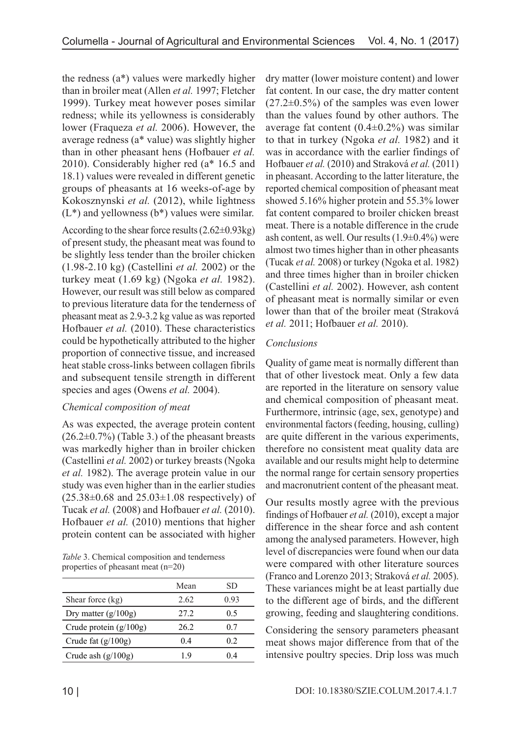the redness (a\*) values were markedly higher than in broiler meat (Allen *et al.* 1997; Fletcher 1999). Turkey meat however poses similar redness; while its yellowness is considerably lower (Fraqueza *et al.* 2006). However, the average redness (a\* value) was slightly higher than in other pheasant hens (Hofbauer *et al.* 2010). Considerably higher red (a\* 16.5 and 18.1) values were revealed in different genetic groups of pheasants at 16 weeks-of-age by Kokosznynski *et al.* (2012), while lightness  $(L^*)$  and yellowness  $(b^*)$  values were similar.

According to the shear force results  $(2.62\pm0.93\text{kg})$ of present study, the pheasant meat was found to be slightly less tender than the broiler chicken (1.98-2.10 kg) (Castellini *et al.* 2002) or the turkey meat (1.69 kg) (Ngoka *et al.* 1982). However, our result was still below as compared to previous literature data for the tenderness of pheasant meat as 2.9-3.2 kg value as was reported Hofbauer *et al.* (2010). These characteristics could be hypothetically attributed to the higher proportion of connective tissue, and increased heat stable cross-links between collagen fibrils and subsequent tensile strength in different species and ages (Owens *et al.* 2004).

# *Chemical composition of meat*

As was expected, the average protein content  $(26.2\pm0.7\%)$  (Table 3.) of the pheasant breasts was markedly higher than in broiler chicken (Castellini *et al.* 2002) or turkey breasts (Ngoka *et al.* 1982). The average protein value in our study was even higher than in the earlier studies  $(25.38\pm0.68$  and  $25.03\pm1.08$  respectively) of Tucak *et al.* (2008) and Hofbauer *et al.* (2010). Hofbauer *et al.* (2010) mentions that higher protein content can be associated with higher

*Table* 3. Chemical composition and tenderness properties of pheasant meat (n=20)

|                          | Mean | SD.          |
|--------------------------|------|--------------|
| Shear force (kg)         | 2.62 | 0.93         |
| Dry matter $(g/100g)$    | 27.2 | 0.5          |
| Crude protein $(g/100g)$ | 26.2 | 0.7          |
| Crude fat $(g/100g)$     | 04   | 02           |
| Crude ash $(g/100g)$     | 19   | $\mathbf{A}$ |

dry matter (lower moisture content) and lower fat content. In our case, the dry matter content  $(27.2\pm0.5\%)$  of the samples was even lower than the values found by other authors. The average fat content  $(0.4\pm 0.2\%)$  was similar to that in turkey (Ngoka *et al.* 1982) and it was in accordance with the earlier findings of Hofbauer *et al.* (2010) and Straková *et al.* (2011) in pheasant. According to the latter literature, the reported chemical composition of pheasant meat showed 5.16% higher protein and 55.3% lower fat content compared to broiler chicken breast meat. There is a notable difference in the crude ash content, as well. Our results  $(1.9\pm0.4\%)$  were almost two times higher than in other pheasants (Tucak *et al.* 2008) or turkey (Ngoka et al. 1982) and three times higher than in broiler chicken (Castellini *et al.* 2002). However, ash content of pheasant meat is normally similar or even lower than that of the broiler meat (Straková *et al.* 2011; Hofbauer *et al.* 2010).

# *Conclusions*

Quality of game meat is normally different than that of other livestock meat. Only a few data are reported in the literature on sensory value and chemical composition of pheasant meat. Furthermore, intrinsic (age, sex, genotype) and environmental factors (feeding, housing, culling) are quite different in the various experiments, therefore no consistent meat quality data are available and our results might help to determine the normal range for certain sensory properties and macronutrient content of the pheasant meat.

Our results mostly agree with the previous findings of Hofbauer *et al.* (2010), except a major difference in the shear force and ash content among the analysed parameters. However, high level of discrepancies were found when our data were compared with other literature sources (Franco and Lorenzo 2013; Straková *et al.* 2005). These variances might be at least partially due to the different age of birds, and the different growing, feeding and slaughtering conditions.

Considering the sensory parameters pheasant meat shows major difference from that of the intensive poultry species. Drip loss was much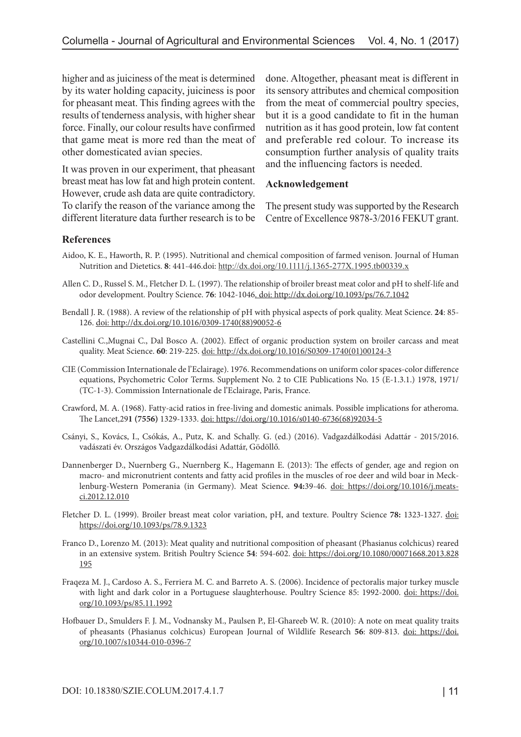higher and as juiciness of the meat is determined by its water holding capacity, juiciness is poor for pheasant meat. This finding agrees with the results of tenderness analysis, with higher shear force. Finally, our colour results have confirmed that game meat is more red than the meat of other domesticated avian species.

It was proven in our experiment, that pheasant breast meat has low fat and high protein content. However, crude ash data are quite contradictory. To clarify the reason of the variance among the different literature data further research is to be done. Altogether, pheasant meat is different in its sensory attributes and chemical composition from the meat of commercial poultry species, but it is a good candidate to fit in the human nutrition as it has good protein, low fat content and preferable red colour. To increase its consumption further analysis of quality traits and the influencing factors is needed.

### **Acknowledgement**

The present study was supported by the Research Centre of Excellence 9878-3/2016 FEKUT grant.

## **References**

- Aidoo, K. E., Haworth, R. P. (1995). Nutritional and chemical composition of farmed venison. Journal of Human Nutrition and Dietetics. **8**: 441-446.doi: http://dx.doi.org/10.1111/j.1365-277X.1995.tb00339.x
- Allen C. D., Russel S. M., Fletcher D. L. (1997). The relationship of broiler breast meat color and pH to shelf-life and odor development. Poultry Science. **76**: 1042-1046. doi: http://dx.doi.org/10.1093/ps/76.7.1042
- Bendall J. R. (1988). A review of the relationship of pH with physical aspects of pork quality. Meat Science. **24**: 85- 126. doi: [http://dx.doi.org/10.1016/0309-1740\(88\)90052-6](http://dx.doi.org/10.1016/0309-1740(88)90052-6)
- Castellini C.,Mugnai C., Dal Bosco A. (2002). Effect of organic production system on broiler carcass and meat quality. Meat Science. **60**: 219-225. doi: [http://dx.doi.org/10.1016/S0309-1740\(01\)00124-3](http://dx.doi.org/10.1016/S0309-1740(01)00124-3)
- CIE (Commission Internationale de l'Eclairage). 1976. Recommendations on uniform color spaces-color difference equations, Psychometric Color Terms. Supplement No. 2 to CIE Publications No. 15 (E-1.3.1.) 1978, 1971/ (TC-1-3). Commission Internationale de l'Eclairage, Paris, France.
- Crawford, M. A. (1968). Fatty-acid ratios in free-living and domestic animals. Possible implications for atheroma. The Lancet,29**1 (7556)** 1329-1333. doi: [https://doi.org/10.1016/s0140-6736\(68\)92034-5](https://doi.org/10.1016/s0140-6736(68)92034-5)
- Csányi, S., Kovács, I., Csókás, A., Putz, K. and Schally. G. (ed.) (2016). Vadgazdálkodási Adattár 2015/2016. vadászati év. Országos Vadgazdálkodási Adattár, Gödöllő.
- Dannenberger D., Nuernberg G., Nuernberg K., Hagemann E. (2013): The effects of gender, age and region on macro- and micronutrient contents and fatty acid profiles in the muscles of roe deer and wild boar in Mecklenburg-Western Pomerania (in Germany). Meat Science. **94:**39-46. doi: [https://doi.org/10.1016/j.meats](https://doi.org/10.1016/j.meatsci.2012.12.010)[ci.2012.12.010](https://doi.org/10.1016/j.meatsci.2012.12.010)
- Fletcher D. L. (1999). Broiler breast meat color variation, pH, and texture. Poultry Science **78:** 1323-1327. doi: <https://doi.org/10.1093/ps/78.9.1323>
- Franco D., Lorenzo M. (2013): Meat quality and nutritional composition of pheasant (Phasianus colchicus) reared in an extensive system. British Poultry Science **54**: 594-602. doi: [https://doi.org/10.1080/00071668.2013.828](https://doi.org/10.1080/00071668.2013.828195) [195](https://doi.org/10.1080/00071668.2013.828195)
- Fraqeza M. J., Cardoso A. S., Ferriera M. C. and Barreto A. S. (2006). Incidence of pectoralis major turkey muscle with light and dark color in a Portuguese slaughterhouse. Poultry Science 85: 1992-2000. doi: [https://doi.](https://doi.org/10.1093/ps/85.11.1992) [org/10.1093/ps/85.11.1992](https://doi.org/10.1093/ps/85.11.1992)
- Hofbauer D., Smulders F. J. M., Vodnansky M., Paulsen P., El-Ghareeb W. R. (2010): A note on meat quality traits of pheasants (Phasianus colchicus) European Journal of Wildlife Research **56**: 809-813. doi: [https://doi.](https://doi.org/10.1007/s10344-010-0396-7) [org/10.1007/s10344-010-0396-7](https://doi.org/10.1007/s10344-010-0396-7)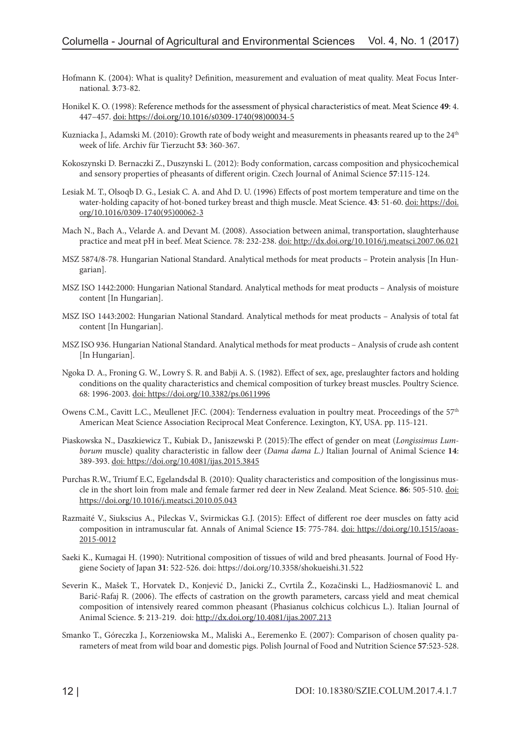- Hofmann K. (2004): What is quality? Definition, measurement and evaluation of meat quality. Meat Focus International. **3**:73-82.
- Honikel K. O. (1998): Reference methods for the assessment of physical characteristics of meat. Meat Science **49**: 4. 447–457. doi: [https://doi.org/10.1016/s0309-1740\(98\)00034-5](https://doi.org/10.1016/s0309-1740(98)00034-5)
- Kuzniacka J., Adamski M. (2010): Growth rate of body weight and measurements in pheasants reared up to the 24<sup>th</sup> week of life. Archiv für Tierzucht **53**: 360-367.
- Kokoszynski D. Bernaczki Z., Duszynski L. (2012): Body conformation, carcass composition and physicochemical and sensory properties of pheasants of different origin. Czech Journal of Animal Science **57**:115-124.
- Lesiak M. T., Olsoqb D. G., Lesiak C. A. and Ahd D. U. (1996) Effects of post mortem temperature and time on the water-holding capacity of hot-boned turkey breast and thigh muscle. Meat Science. **43**: 51-60. doi: [https://doi.](https://doi.org/10.1016/0309-1740(95)00062-3) [org/10.1016/0309-1740\(95\)00062-3](https://doi.org/10.1016/0309-1740(95)00062-3)
- Mach N., Bach A., Velarde A. and Devant M. (2008). Association between animal, transportation, slaughterhause practice and meat pH in beef. Meat Science. 78: 232-238. doi: <http://dx.doi.org/10.1016/j.meatsci.2007.06.021>
- MSZ 5874/8-78. Hungarian National Standard. Analytical methods for meat products Protein analysis [In Hungarian].
- MSZ ISO 1442:2000: Hungarian National Standard. Analytical methods for meat products Analysis of moisture content [In Hungarian].
- MSZ ISO 1443:2002: Hungarian National Standard. Analytical methods for meat products Analysis of total fat content [In Hungarian].
- MSZ ISO 936. Hungarian National Standard. Analytical methods for meat products Analysis of crude ash content [In Hungarian].
- Ngoka D. A., Froning G. W., Lowry S. R. and Babji A. S. (1982). Effect of sex, age, preslaughter factors and holding conditions on the quality characteristics and chemical composition of turkey breast muscles. Poultry Science. 68: 1996-2003. doi: https://doi.org/10.3382/ps.0611996
- Owens C.M., Cavitt L.C., Meullenet JF.C. (2004): Tenderness evaluation in poultry meat. Proceedings of the 57<sup>th</sup> American Meat Science Association Reciprocal Meat Conference. Lexington, KY, USA. pp. 115-121.
- Piaskowska N., Daszkiewicz T., Kubiak D., Janiszewski P. (2015):The effect of gender on meat (*Longissimus Lumborum* muscle) quality characteristic in fallow deer (*Dama dama L.)* Italian Journal of Animal Science **14**: 389-393. doi:<https://doi.org/10.4081/ijas.2015.3845>
- Purchas R.W., Triumf E.C, Egelandsdal B. (2010): Quality characteristics and composition of the longissinus muscle in the short loin from male and female farmer red deer in New Zealand. Meat Science. **86**: 505-510. doi: <https://doi.org/10.1016/j.meatsci.2010.05.043>
- Razmaité V., Siukscius A., Pileckas V., Svirmickas G.J. (2015): Effect of different roe deer muscles on fatty acid composition in intramuscular fat. Annals of Animal Science **15**: 775-784. doi: [https://doi.org/10.1515/aoas-](https://doi.org/10.1515/aoas-2015-0012)[2015-0012](https://doi.org/10.1515/aoas-2015-0012)
- Saeki K., Kumagai H. (1990): Nutritional composition of tissues of wild and bred pheasants. Journal of Food Hygiene Society of Japan **31**: 522-526. doi:<https://doi.org/10.3358/shokueishi.31.522>
- Severin K., Mašek T., Horvatek D., Konjević D., Janicki Z., Cvrtila Ž., Kozačinski L., Hadžiosmanovič L. and Barić-Rafaj R. (2006). The effects of castration on the growth parameters, carcass yield and meat chemical composition of intensively reared common pheasant (Phasianus colchicus colchicus L.). Italian Journal of Animal Science. **5**: 213-219. doi: <http://dx.doi.org/10.4081/ijas.2007.213>
- Smanko T., Góreczka J., Korzeniowska M., Maliski A., Eeremenko E. (2007): Comparison of chosen quality parameters of meat from wild boar and domestic pigs. Polish Journal of Food and Nutrition Science **57**:523-528.